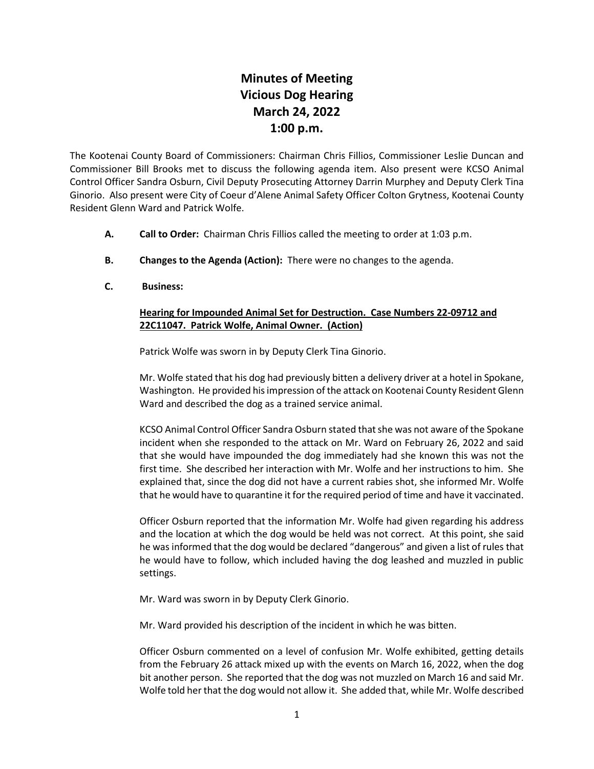## **Minutes of Meeting Vicious Dog Hearing March 24, 2022 1:00 p.m.**

The Kootenai County Board of Commissioners: Chairman Chris Fillios, Commissioner Leslie Duncan and Commissioner Bill Brooks met to discuss the following agenda item. Also present were KCSO Animal Control Officer Sandra Osburn, Civil Deputy Prosecuting Attorney Darrin Murphey and Deputy Clerk Tina Ginorio. Also present were City of Coeur d'Alene Animal Safety Officer Colton Grytness, Kootenai County Resident Glenn Ward and Patrick Wolfe.

- **A. Call to Order:** Chairman Chris Fillios called the meeting to order at 1:03 p.m.
- **B. Changes to the Agenda (Action):** There were no changes to the agenda.
- **C. Business:**

## **Hearing for Impounded Animal Set for Destruction. Case Numbers 22-09712 and 22C11047. Patrick Wolfe, Animal Owner. (Action)**

Patrick Wolfe was sworn in by Deputy Clerk Tina Ginorio.

Mr. Wolfe stated that his dog had previously bitten a delivery driver at a hotel in Spokane, Washington. He provided his impression of the attack on Kootenai County Resident Glenn Ward and described the dog as a trained service animal.

KCSO Animal Control Officer Sandra Osburn stated that she was not aware of the Spokane incident when she responded to the attack on Mr. Ward on February 26, 2022 and said that she would have impounded the dog immediately had she known this was not the first time. She described her interaction with Mr. Wolfe and her instructions to him. She explained that, since the dog did not have a current rabies shot, she informed Mr. Wolfe that he would have to quarantine it for the required period of time and have it vaccinated.

Officer Osburn reported that the information Mr. Wolfe had given regarding his address and the location at which the dog would be held was not correct. At this point, she said he was informed that the dog would be declared "dangerous" and given a list of rules that he would have to follow, which included having the dog leashed and muzzled in public settings.

Mr. Ward was sworn in by Deputy Clerk Ginorio.

Mr. Ward provided his description of the incident in which he was bitten.

Officer Osburn commented on a level of confusion Mr. Wolfe exhibited, getting details from the February 26 attack mixed up with the events on March 16, 2022, when the dog bit another person. She reported that the dog was not muzzled on March 16 and said Mr. Wolfe told her that the dog would not allow it. She added that, while Mr. Wolfe described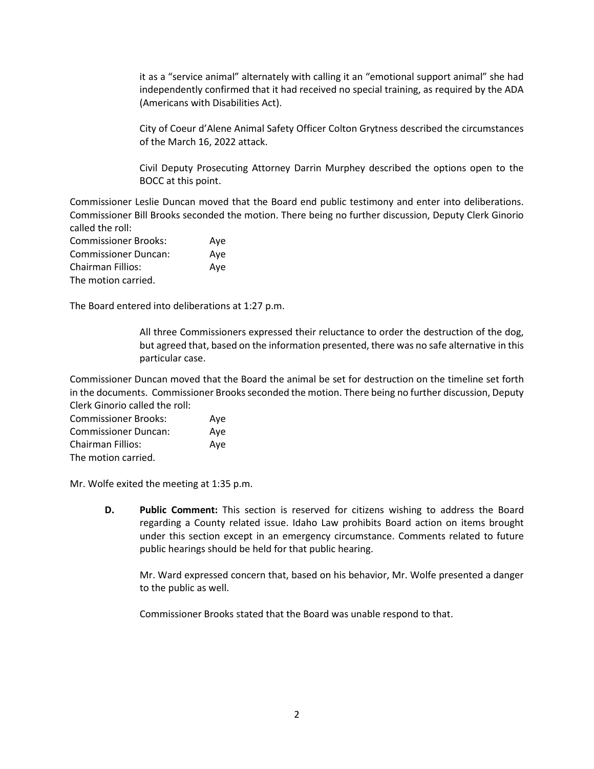it as a "service animal" alternately with calling it an "emotional support animal" she had independently confirmed that it had received no special training, as required by the ADA (Americans with Disabilities Act).

City of Coeur d'Alene Animal Safety Officer Colton Grytness described the circumstances of the March 16, 2022 attack.

Civil Deputy Prosecuting Attorney Darrin Murphey described the options open to the BOCC at this point.

Commissioner Leslie Duncan moved that the Board end public testimony and enter into deliberations. Commissioner Bill Brooks seconded the motion. There being no further discussion, Deputy Clerk Ginorio called the roll:

| <b>Commissioner Brooks:</b> | Aye |
|-----------------------------|-----|
| <b>Commissioner Duncan:</b> | Ave |
| Chairman Fillios:           | Ave |
| The motion carried.         |     |

The Board entered into deliberations at 1:27 p.m.

All three Commissioners expressed their reluctance to order the destruction of the dog, but agreed that, based on the information presented, there was no safe alternative in this particular case.

Commissioner Duncan moved that the Board the animal be set for destruction on the timeline set forth in the documents. Commissioner Brooks seconded the motion. There being no further discussion, Deputy Clerk Ginorio called the roll:

| <b>Commissioner Brooks:</b> | Aye |
|-----------------------------|-----|
| <b>Commissioner Duncan:</b> | Ave |
| <b>Chairman Fillios:</b>    | Aye |
| The motion carried.         |     |

Mr. Wolfe exited the meeting at 1:35 p.m.

**D. Public Comment:** This section is reserved for citizens wishing to address the Board regarding a County related issue. Idaho Law prohibits Board action on items brought under this section except in an emergency circumstance. Comments related to future public hearings should be held for that public hearing.

Mr. Ward expressed concern that, based on his behavior, Mr. Wolfe presented a danger to the public as well.

Commissioner Brooks stated that the Board was unable respond to that.